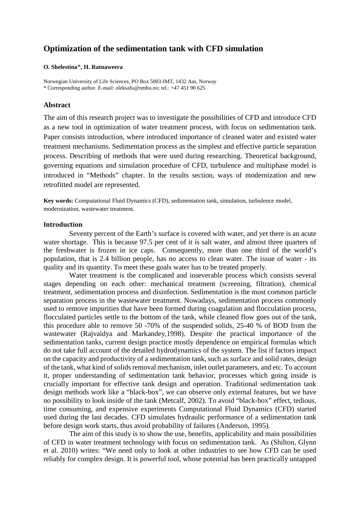# **Optimization of the sedimentation tank with CFD simulation**

#### **O. Shelestina**\***, H. Ratnaweera**

Norwegian University of Life Sciences, PO Box 5003-IMT, 1432 Aas, Norway \* Corresponding author. E-mail: oleksafu@nmbu.no; tel.: +47 451 90 625

## **Abstract**

The aim of this research project was to investigate the possibilities of CFD and introduce CFD as a new tool in optimization of water treatment process, with focus on sedimentation tank. Paper consists introduction, where introduced importance of cleaned water and existed water treatment mechanisms. Sedimentation process as the simplest and effective particle separation process. Describing of methods that were used during researching. Theoretical background, governing equations and simulation procedure of CFD, turbulence and multiphase model is introduced in "Methods" chapter. In the results section, ways of modernization and new retrofitted model are represented.

**Key words:** Computational Fluid Dynamics (CFD), sedimentation tank, simulation, turbulence model, modernization, wastewater treatment.

## **Introduction**

Seventy percent of the Earth's surface is covered with water, and yet there is an acute water shortage. This is because 97.5 per cent of it is salt water, and almost three quarters of the freshwater is frozen in ice caps. Consequently, more than one third of the world's population, that is 2.4 billion people, has no access to clean water. The issue of water - its quality and its quantity. To meet these goals water has to be treated properly.

Water treatment is the complicated and inseverable process which consists several stages depending on each other: mechanical treatment (screening, filtration), chemical treatment, sedimentation process and disinfection. Sedimentation is the most common particle separation process in the wastewater treatment. Nowadays, sedimentation process commonly used to remove impurities that have been formed during coagulation and flocculation process, flocculated particles settle to the bottom of the tank, while cleaned flow goes out of the tank, this procedure able to remove 50 -70% of the suspended solids, 25-40 % of BOD from the wastewater (Rajvaidya and Markandey,1998). Despite the practical importance of the sedimentation tanks, current design practice mostly dependence on empirical formulas which do not take full account of the detailed hydrodynamics of the system. The list if factors impact on the capacity and productivity of a sedimentation tank, such as surface and solid rates, design of the tank, what kind of solids removal mechanism, inlet outlet parameters, and etc. To account it, proper understanding of sedimentation tank behavior, processes which going inside is crucially important for effective tank design and operation. Traditional sedimentation tank design methods work like a "black-box", we can observe only external features, but we have no possibility to look inside of the tank (Metcalf, 2002). To avoid "black-box" effect, tedious, time consuming, and expensive experiments Computational Fluid Dynamics (CFD) started used during the last decades. CFD simulates hydraulic performance of a sedimentation tank before design work starts, thus avoid probability of failures (Anderson, 1995).

The aim of this study is to show the use, benefits, applicability and main possibilities of CFD in water treatment technology with focus on sedimentation tank. As [\(Shilton, Glynn](#page-10-0)  [et al. 2010\)](#page-10-0) writes: "We need only to look at other industries to see how CFD can be used reliably for complex design. It is powerful tool, whose potential has been practically untapped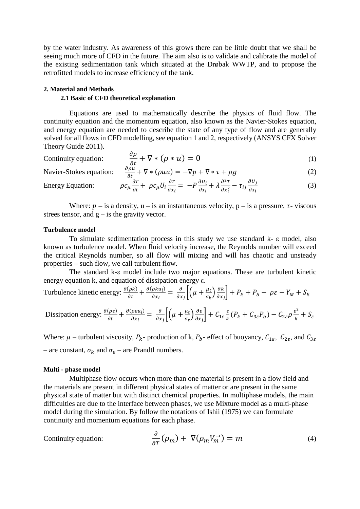by the water industry. As awareness of this grows there can be little doubt that we shall be seeing much more of CFD in the future. The aim also is to validate and calibrate the model of the existing sedimentation tank which situated at the Drøbak WWTP, and to propose the retrofitted models to increase efficiency of the tank.

## **2. Material and Methods**

## **2.1 Basic of CFD theoretical explanation**

Equations are used to mathematically describe the physics of fluid flow. The continuity equation and the momentum equation, also known as the Navier-Stokes equation, and energy equation are needed to describe the state of any type of flow and are generally solved for all flows in CFD modelling, see equation 1 and 2, respectively (ANSYS CFX Solver Theory Guide 2011).

Continuity equation: 
$$
\frac{\partial \rho}{\partial t} + \nabla * (\rho * u) = 0
$$
 (1)

$$
\text{Navier-Stokes equation:} \quad \frac{\partial \rho u}{\partial t} + \nabla * (\rho u u) = -\nabla p + \nabla * \tau + \rho g \tag{2}
$$

Energy Equation: 
$$
\rho c_{\mu} \frac{\partial T}{\partial t} + \rho c_{\mu} U_i \frac{\partial T}{\partial x_i} = -P \frac{\partial U_i}{\partial x_i} + \lambda \frac{\partial^2 T}{\partial x_i^2} - \tau_{ij} \frac{\partial U_j}{\partial x_i}
$$
(3)

Where:  $p -$  is a density,  $u -$  is an instantaneous velocity,  $p -$  is a pressure,  $\tau$ -viscous strees tensor, and  $g - is$  the gravity vector.

#### **Turbulence model**

To simulate sedimentation process in this study we use standard  $k - \varepsilon$  model, also known as turbulence model. When fluid velocity increase, the Reynolds number will exceed the critical Reynolds number, so all flow will mixing and will has chaotic and unsteady properties – such flow, we call turbulent flow.

The standard k-ε model include two major equations. These are turbulent kinetic energy equation k, and equation of dissipation energy ε.

Turbulence kinetic energy: 
$$
\frac{\partial(\rho k)}{\partial t} + \frac{\partial(\rho k u_i)}{\partial x_i} = \frac{\partial}{\partial x_j} \left[ \left( \mu + \frac{\mu_t}{\sigma_k} \right) \frac{\partial k}{\partial x_j} \right] + P_k + P_b - \rho \varepsilon - Y_M + S_k
$$

Dissipation energy: 
$$
\frac{\partial(\rho \varepsilon)}{\partial t} + \frac{\partial(\rho \varepsilon u_i)}{\partial x_i} = \frac{\partial}{\partial x_j} \left[ \left( \mu + \frac{\mu_t}{\sigma_{\varepsilon}} \right) \frac{\partial \varepsilon}{\partial x_j} \right] + C_{1\varepsilon} \frac{\varepsilon}{k} (P_k + C_{3\varepsilon} P_b) - C_{2\varepsilon} \rho \frac{\varepsilon^2}{k} + S_{\varepsilon}
$$

Where:  $\mu$  – turbulent viscosity,  $P_k$ - production of k,  $P_b$ - effect of buoyancy,  $C_{1\epsilon}$ ,  $C_{2\epsilon}$ , and  $C_{3\epsilon}$ – are constant,  $\sigma_k$  and  $\sigma_{\epsilon}$  – are Prandtl numbers.

#### **Multi - phase model**

Multiphase flow occurs when more than one material is present in a flow field and the materials are present in different physical states of matter or are present in the same physical state of matter but with distinct chemical properties. In multiphase models, the main difficulties are due to the interface between phases, we use Mixture model as a multi-phase model during the simulation. By follow the notations of Ishii (1975) we can formulate continuity and momentum equations for each phase.

Continuity equation: 
$$
\frac{\partial}{\partial T}(\rho_m) + \nabla(\rho_m V_m^{\rightarrow}) = m
$$
 (4)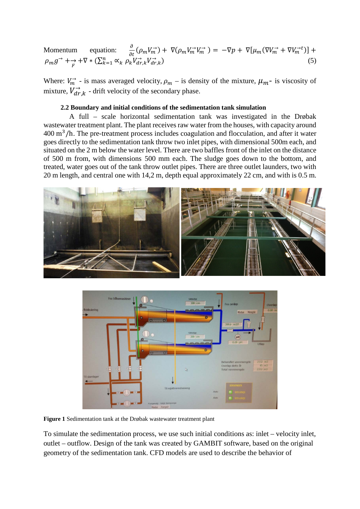Momentum equation:  $\frac{\partial}{\partial t}(\rho_m V_m^{\rightarrow}) + \nabla(\rho_m V_m^{\rightarrow} V_m^{\rightarrow}) = -\nabla p + \nabla[\mu_m(\nabla V_m^{\rightarrow} + \nabla V_m^{\rightarrow} t)] +$  $\rho_m g^{\rightarrow} + \frac{\rightarrow}{F} + \nabla * (\sum_{k=1}^n \alpha_k \, \rho_k V_{dr,k}^{\rightarrow} V_{dr,k}^{\rightarrow})$  (5)

Where:  $V_m^{\rightarrow}$  - is mass averaged velocity,  $\rho_m$  – is density of the mixture,  $\mu_m$ - is viscosity of mixture,  $V_{dr,k}^{\rightarrow}$  - drift velocity of the secondary phase.

#### **2.2 Boundary and initial conditions of the sedimentation tank simulation**

A full – scale horizontal sedimentation tank was investigated in the Drøbak wastewater treatment plant. The plant receives raw water from the houses, with capacity around  $400 \text{ m}^3/h$ . The pre-treatment process includes coagulation and flocculation, and after it water goes directly to the sedimentation tank throw two inlet pipes, with dimensional 500m each, and situated on the 2 m below the water level. There are two baffles front of the inlet on the distance of 500 m from, with dimensions 500 mm each. The sludge goes down to the bottom, and treated, water goes out of the tank throw outlet pipes. There are three outlet launders, two with 20 m length, and central one with 14,2 m, depth equal approximately 22 cm, and with is 0.5 m.





**Figure 1** Sedimentation tank at the Drøbak wastewater treatment plant

To simulate the sedimentation process, we use such initial conditions as: inlet – velocity inlet, outlet – outflow. Design of the tank was created by GAMBIT software, based on the original geometry of the sedimentation tank. CFD models are used to describe the behavior of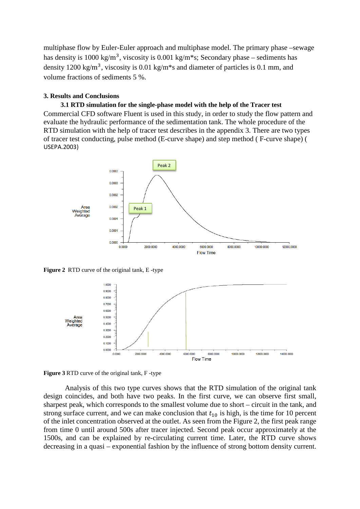multiphase flow by Euler-Euler approach and multiphase model. The primary phase –sewage has density is  $1000 \text{ kg/m}^3$ , viscosity is  $0.001 \text{ kg/m}^*$ s; Secondary phase – sediments has density 1200 kg/m<sup>3</sup>, viscosity is 0.01 kg/m<sup>\*</sup>s and diameter of particles is 0.1 mm, and volume fractions of sediments 5 %.

## **3. Results and Conclusions**

## **3.1 RTD simulation for the single-phase model with the help of the Tracer test**

Commercial CFD software Fluent is used in this study, in order to study the flow pattern and evaluate the hydraulic performance of the sedimentation tank. The whole procedure of the RTD simulation with the help of tracer test describes in the appendix 3. There are two types of tracer test conducting, pulse method (E-curve shape) and step method ( F-curve shape) ( USEPA.2003)



**Figure 2** RTD curve of the original tank, E -type



**Figure 3** RTD curve of the original tank, F -type

Analysis of this two type curves shows that the RTD simulation of the original tank design coincides, and both have two peaks. In the first curve, we can observe first small, sharpest peak, which corresponds to the smallest volume due to short – circuit in the tank, and strong surface current, and we can make conclusion that  $t_{10}$  is high, is the time for 10 percent of the inlet concentration observed at the outlet. As seen from the Figure 2, the first peak range from time 0 until around 500s after tracer injected. Second peak occur approximately at the 1500s, and can be explained by re-circulating current time. Later, the RTD curve shows decreasing in a quasi – exponential fashion by the influence of strong bottom density current.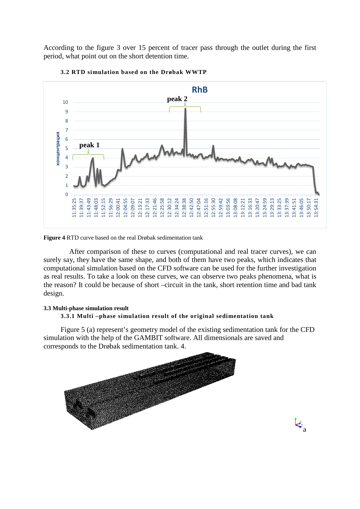According to the figure 3 over 15 percent of tracer pass through the outlet during the first period, what point out on the short detention time.





**Figure 4** RTD curve based on the real Drøbak sedimentation tank

After comparison of these to curves (computational and real tracer curves), we can surely say, they have the same shape, and both of them have two peaks, which indicates that computational simulation based on the CFD software can be used for the further investigation as real results. To take a look on these curves, we can observe two peaks phenomena, what is the reason? It could be because of short –circuit in the tank, short retention time and bad tank design.

#### **3.3 Multi-phase simulation result**

## **3.3.1 Multi –phase simulation result of the original sedimentation tank**

Figure 5 (a) represent's geometry model of the existing sedimentation tank for the CFD simulation with the help of the GAMBIT software. All dimensionals are saved and corresponds to the Drøbak sedimentation tank. 4.

 $\mathcal{L}_{a}$ 

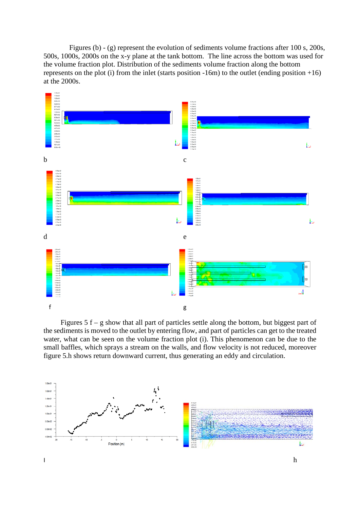Figures (b) - (g) represent the evolution of sediments volume fractions after 100 s, 200s, 500s, 1000s, 2000s on the x-y plane at the tank bottom. The line across the bottom was used for the volume fraction plot. Distribution of the sediments volume fraction along the bottom represents on the plot (i) from the inlet (starts position  $-16m$ ) to the outlet (ending position  $+16$ ) at the 2000s.



Figures  $5 f - g$  show that all part of particles settle along the bottom, but biggest part of the sediments is moved to the outlet by entering flow, and part of particles can get to the treated water, what can be seen on the volume fraction plot (i). This phenomenon can be due to the small baffles, which sprays a stream on the walls, and flow velocity is not reduced, moreover figure 5.h shows return downward current, thus generating an eddy and circulation.

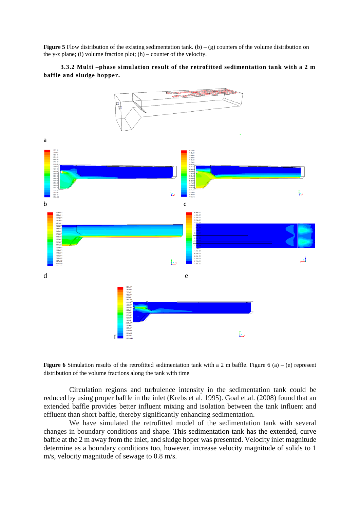**Figure 5** Flow distribution of the existing sedimentation tank. (b) – (g) counters of the volume distribution on the y-z plane; (i) volume fraction plot;  $(h)$  – counter of the velocity.

#### **3.3.2 Multi –phase simulation result of the retrofitted sedimentation tank with a 2 m baffle and sludge hopper.**



**Figure 6** Simulation results of the retrofitted sedimentation tank with a 2 m baffle. Figure 6 (a) – (e) represent distribution of the volume fractions along the tank with time

Circulation regions and turbulence intensity in the sedimentation tank could be reduced by using proper baffle in the inlet (Krebs et al. 1995). Goal et.al. (2008) found that an extended baffle provides better influent mixing and isolation between the tank influent and effluent than short baffle, thereby significantly enhancing sedimentation.

We have simulated the retrofitted model of the sedimentation tank with several changes in boundary conditions and shape. This sedimentation tank has the extended, curve baffle at the 2 m away from the inlet, and sludge hoper was presented. Velocity inlet magnitude determine as a boundary conditions too, however, increase velocity magnitude of solids to 1 m/s, velocity magnitude of sewage to 0.8 m/s.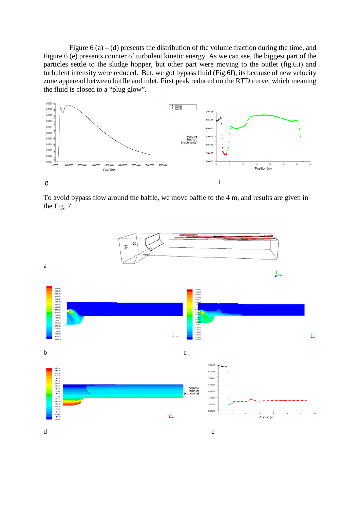Figure  $6(a) - (d)$  presents the distribution of the volume fraction during the time, and Figure 6 (e) presents counter of turbulent kinetic energy. As we can see, the biggest part of the particles settle to the sludge hopper, but other part were moving to the outlet (fig.6.i) and turbulent intensity were reduced. But, we got bypass fluid (Fig.6f), its because of new velocity zone apperead between baffle and inlet. First peak reduced on the RTD curve, which meaning the fluid is closed to a "plug glow".



To avoid bypass flow around the baffle, we move baffle to the 4 m, and results are given in the Fig. 7.

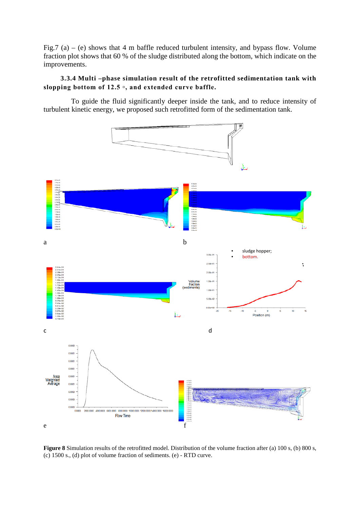Fig.7 (a) – (e) shows that 4 m baffle reduced turbulent intensity, and bypass flow. Volume fraction plot shows that 60 % of the sludge distributed along the bottom, which indicate on the improvements.

## **3.3.4 Multi –phase simulation result of the retrofitted sedimentation tank with slopping bottom of 12.5 ▫, and extended curve baffle.**

To guide the fluid significantly deeper inside the tank, and to reduce intensity of turbulent kinetic energy, we proposed such retrofitted form of the sedimentation tank.



**Figure 8** Simulation results of the retrofitted model. Distribution of the volume fraction after (a) 100 s, (b) 800 s, (c) 1500 s., (d) plot of volume fraction of sediments. (e) - RTD curve.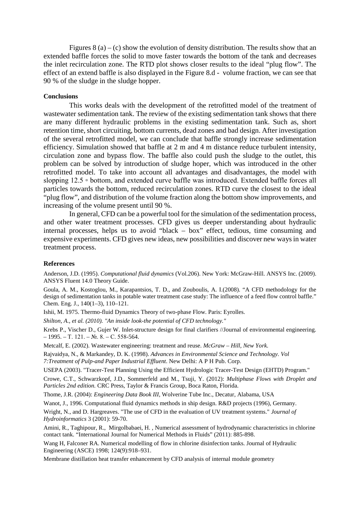Figures  $8(a) - (c)$  show the evolution of density distribution. The results show that an extended baffle forces the solid to move faster towards the bottom of the tank and decreases the inlet recirculation zone. The RTD plot shows closer results to the ideal "plug flow". The effect of an extend baffle is also displayed in the Figure 8.d - volume fraction, we can see that 90 % of the sludge in the sludge hopper.

#### **Conclusions**

This works deals with the development of the retrofitted model of the treatment of wastewater sedimentation tank. The review of the existing sedimentation tank shows that there are many different hydraulic problems in the existing sedimentation tank. Such as, short retention time, short circuiting, bottom currents, dead zones and bad design. After investigation of the several retrofitted model, we can conclude that baffle strongly increase sedimentation efficiency. Simulation showed that baffle at 2 m and 4 m distance reduce turbulent intensity, circulation zone and bypass flow. The baffle also could push the sludge to the outlet, this problem can be solved by introduction of sludge hoper, which was introduced in the other retrofitted model. To take into account all advantages and disadvantages, the model with slopping 12.5 ▫ bottom, and extended curve baffle was introduced. Extended baffle forces all particles towards the bottom, reduced recirculation zones. RTD curve the closest to the ideal "plug flow", and distribution of the volume fraction along the bottom show improvements, and increasing of the volume present until 90 %.

In general, CFD can be a powerful tool for the simulation of the sedimentation process, and other water treatment processes. CFD gives us deeper understanding about hydraulic internal processes, helps us to avoid "black – box" effect, tedious, time consuming and expensive experiments. CFD gives new ideas, new possibilities and discover new ways in water treatment process.

#### **References**

Anderson, J.D. (1995). *Computational fluid dynamics* (Vol.206). New York: McGraw-Hill. ANSYS Inc. (2009). ANSYS Fluent 14.0 Theory Guide.

Goula, A. M., Kostoglou, M., Karapantsios, T. D., and Zouboulis, A. I.(2008). "A CFD methodology for the design of sedimentation tanks in potable water treatment case study: The influence of a feed flow control baffle." Chem. Eng. J., 140(1–3), 110–121.

Ishii, M. 1975. Thermo-fluid Dynamics Theory of two-phase Flow. Paris: Eyrolles.

*Shilton, A., et al. (2010). "An inside look-the potential of CFD technology."*

Krebs P., Vischer D., Gujer W. Inlet-structure design for final clarifiers //Journal of environmental engineering.  $-1995. - T. 121. - N_2. 8. - C. 558-564.$ 

Metcalf, E. (2002). Wastewater engineering: treatment and reuse. *McGraw – Hill, New York.*

Rajvaidya, N., & Markandey, D. K. (1998). *Advances in Environmental Science and Technology. Vol 7:Treatment of Pulp-and Paper Industrial Effluent*. New Delhi: A P H Pub. Corp.

USEPA (2003). "Tracer-Test Planning Using the Efficient Hydrologic Tracer-Test Design (EHTD) Program."

Crowe, C.T., Schwarzkopf, J.D., Sommerfeld and M., Tsuji, Y. (2012): *Multiphase Flows with Droplet and Particles 2nd edition.* CRC Press, Taylor & Francis Group, Boca Raton, Florida.

Thome, J.R. (2004): *Engineering Data Book III,* Wolverine Tube Inc., Decatur, Alabama, USA

Wanot, J., 1996. Computational fluid dynamics methods in ship design. R&D projects (1996), Germany.

Wright, N., and D. Hargreaves. "The use of CFD in the evaluation of UV treatment systems." *Journal of Hydroinformatics* 3 (2001): 59-70.

Amini, R., Taghipour, R., Mirgolbabaei, H. , Numerical assessment of hydrodynamic characteristics in chlorine contact tank. "International Journal for Numerical Methods in Fluids" (2011): 885-898.

Wang H, Falconer RA. Numerical modelling of flow in chlorine disinfection tanks. Journal of Hydraulic Engineering (ASCE) 1998; 124(9):918–931.

[Membrane distillation heat transfer enhancement by CFD analysis of internal module geometry](http://www.tandfonline.com/doi/abs/10.5004/dwt.2011.1455)